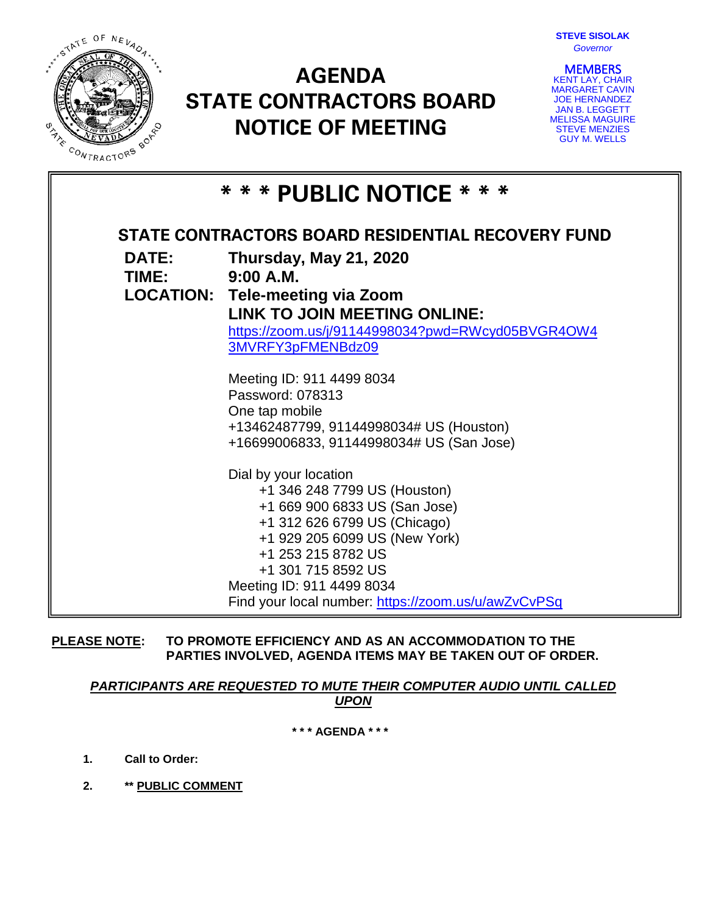

# **AGENDA STATE CONTRACTORS BOARD NOTICE OF MEETING**



**MEMBERS**<br>KENT LAY, CHAIR MARGARET CAVIN JOE HERNANDEZ JAN B. LEGGETT MELISSA MAGUIRE STEVE MENZIES GUY M. WELLS

| * * * PUBLIC NOTICE * * *                         |                                                                                                        |
|---------------------------------------------------|--------------------------------------------------------------------------------------------------------|
| STATE CONTRACTORS BOARD RESIDENTIAL RECOVERY FUND |                                                                                                        |
| <b>DATE:</b><br>TIME: 9:00 A.M.                   | Thursday, May 21, 2020                                                                                 |
|                                                   | <b>LOCATION: Tele-meeting via Zoom</b>                                                                 |
|                                                   | LINK TO JOIN MEETING ONLINE:<br>https://zoom.us/j/91144998034?pwd=RWcyd05BVGR4OW4<br>3MVRFY3pFMENBdz09 |
|                                                   | Meeting ID: 911 4499 8034                                                                              |
|                                                   | Password: 078313                                                                                       |
|                                                   | One tap mobile<br>+13462487799, 91144998034# US (Houston)                                              |
|                                                   | +16699006833, 91144998034# US (San Jose)                                                               |
|                                                   | Dial by your location                                                                                  |
|                                                   | +1 346 248 7799 US (Houston)                                                                           |
|                                                   | +1 669 900 6833 US (San Jose)<br>+1 312 626 6799 US (Chicago)                                          |
|                                                   | +1 929 205 6099 US (New York)                                                                          |
|                                                   | +1 253 215 8782 US                                                                                     |
|                                                   | +1 301 715 8592 US                                                                                     |
|                                                   | Meeting ID: 911 4499 8034<br>Find your local number: https://zoom.us/u/awZvCvPSq                       |

**PLEASE NOTE: TO PROMOTE EFFICIENCY AND AS AN ACCOMMODATION TO THE PARTIES INVOLVED, AGENDA ITEMS MAY BE TAKEN OUT OF ORDER.**

# *PARTICIPANTS ARE REQUESTED TO MUTE THEIR COMPUTER AUDIO UNTIL CALLED UPON*

**\* \* \* AGENDA \* \* \***

- **1. Call to Order:**
- **2. \*\* PUBLIC COMMENT**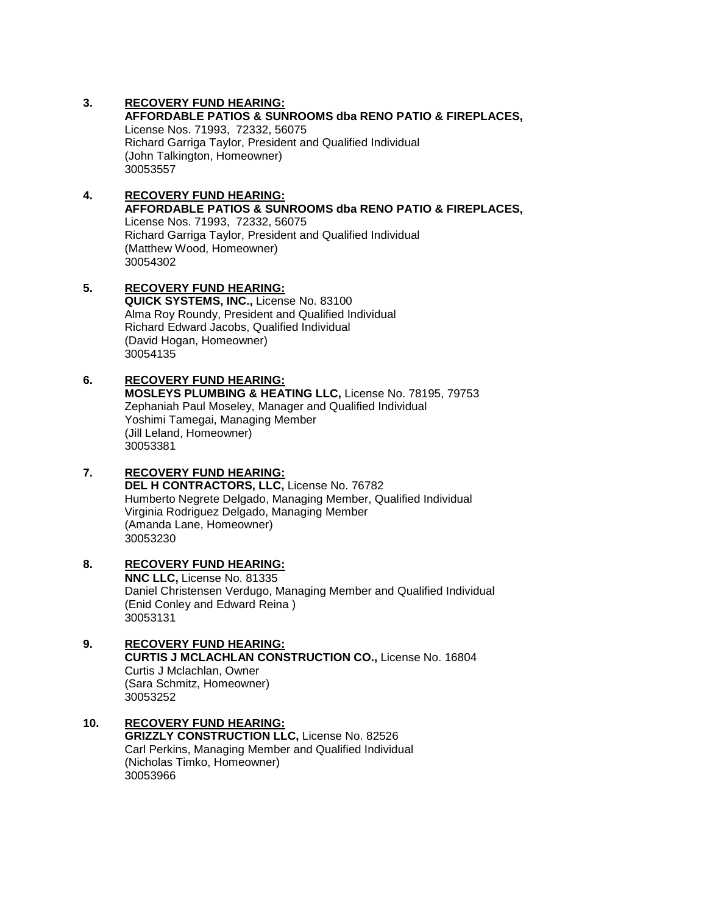## **3. RECOVERY FUND HEARING:**

**AFFORDABLE PATIOS & SUNROOMS dba RENO PATIO & FIREPLACES,**  License Nos. 71993, 72332, 56075 Richard Garriga Taylor, President and Qualified Individual (John Talkington, Homeowner) 30053557

## **4. RECOVERY FUND HEARING: AFFORDABLE PATIOS & SUNROOMS dba RENO PATIO & FIREPLACES,**  License Nos. 71993, 72332, 56075

Richard Garriga Taylor, President and Qualified Individual (Matthew Wood, Homeowner) 30054302

## **5. RECOVERY FUND HEARING: QUICK SYSTEMS, INC.,** License No. 83100 Alma Roy Roundy, President and Qualified Individual Richard Edward Jacobs, Qualified Individual (David Hogan, Homeowner) 30054135

# **6. RECOVERY FUND HEARING:**

**MOSLEYS PLUMBING & HEATING LLC,** License No. 78195, 79753 Zephaniah Paul Moseley, Manager and Qualified Individual Yoshimi Tamegai, Managing Member (Jill Leland, Homeowner) 30053381

# **7. RECOVERY FUND HEARING:**

**DEL H CONTRACTORS, LLC,** License No. 76782 Humberto Negrete Delgado, Managing Member, Qualified Individual Virginia Rodriguez Delgado, Managing Member (Amanda Lane, Homeowner) 30053230

# **8. RECOVERY FUND HEARING:**

**NNC LLC,** License No. 81335 Daniel Christensen Verdugo, Managing Member and Qualified Individual (Enid Conley and Edward Reina ) 30053131

**9. RECOVERY FUND HEARING: CURTIS J MCLACHLAN CONSTRUCTION CO.,** License No. 16804 Curtis J Mclachlan, Owner (Sara Schmitz, Homeowner) 30053252

#### **10. RECOVERY FUND HEARING: GRIZZLY CONSTRUCTION LLC,** License No. 82526 Carl Perkins, Managing Member and Qualified Individual (Nicholas Timko, Homeowner) 30053966